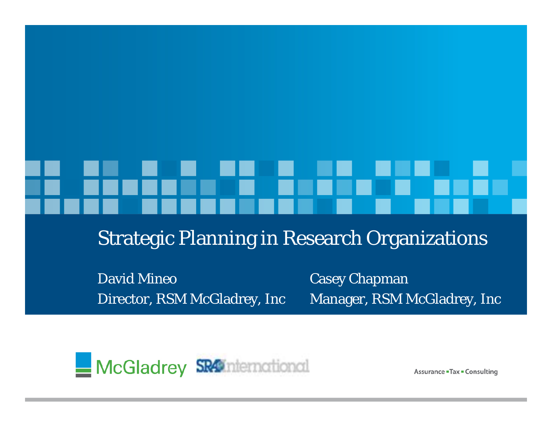Strategic Planning in Research Organizations

David MineoDirector, RSM McGladrey, Inc

Casey Chapman Manager, RSM McGladrey, Inc



**Assurance - Tax - Consulting**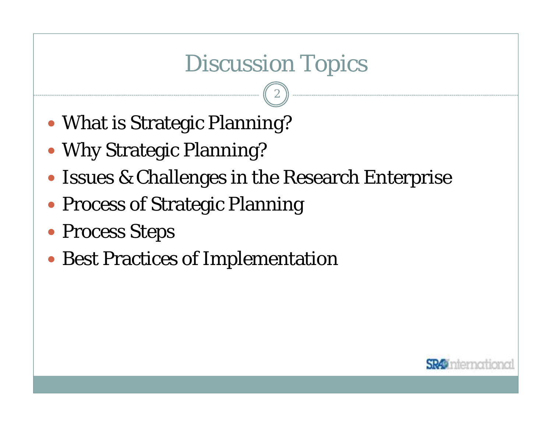# Discussion Topics

- What is Strategic Planning?
- Why Strategic Planning?
- Issues & Challenges in the Research Enterprise
- Process of Strategic Planning
- Process Steps
- Best Practices of Implementation

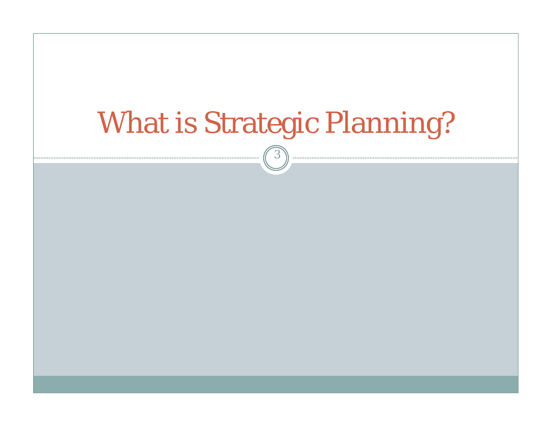# What is Strategic Planning?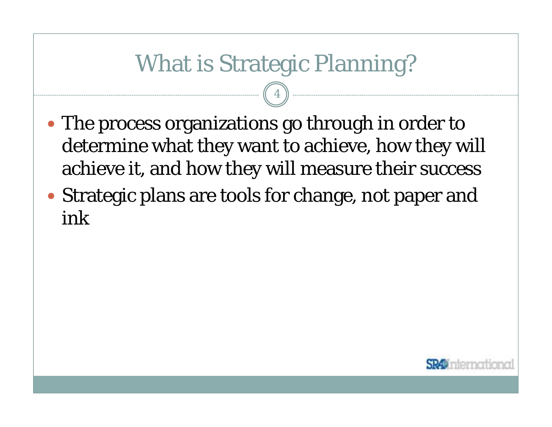## What is Strategic Planning?

- The process organizations go through in order to determine what they want to achieve, how they will achieve it, and how they will measure their success
- Strategic plans are tools for change, not paper and ink

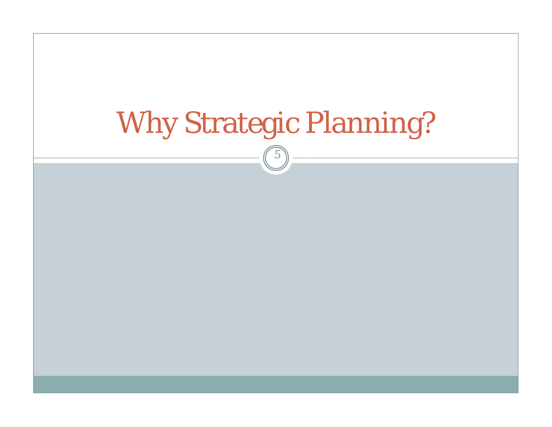# Why Strategic Planning? 5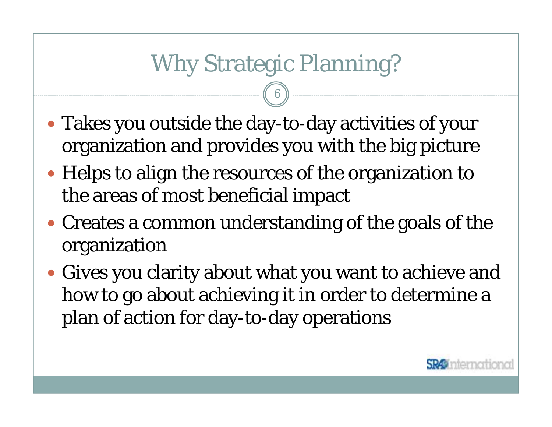# Why Strategic Planning?

- Takes you outside the day-to-day activities of your organization and provides you with the big picture
- Helps to align the resources of the organization to the areas of most beneficial impact
- Creates a common understanding of the goals of the organization
- Gives you clarity about what you want to achieve and how to go about achieving it in order to determine a plan of action for day-to-day operations

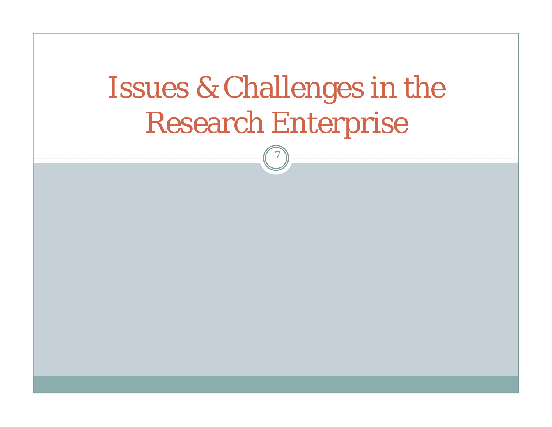# Issues & Challenges in the Research Enterprise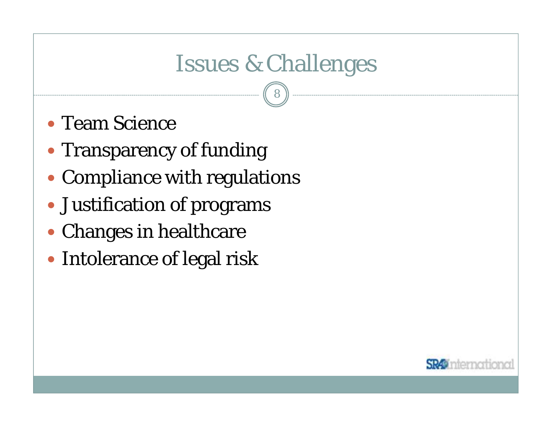# Issues & Challenges

- Team Science
- Transparency of funding
- Compliance with regulations
- Justification of programs
- Changes in healthcare
- Intolerance of legal risk

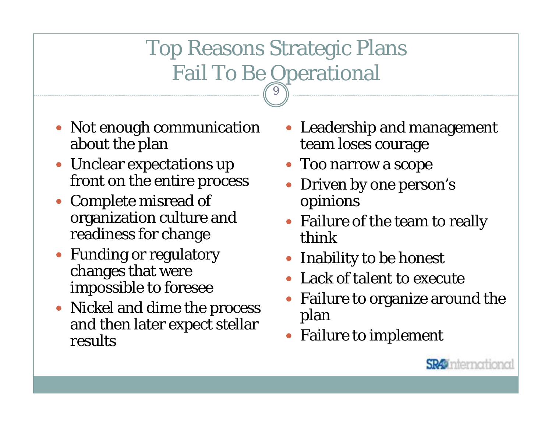## Top Reasons Strategic Plans Fail To Be Operational 9

- Not enough communication about the plan
- Unclear expectations up front on the entire process
- Complete misread of organization culture and readiness for change
- Funding or regulatory changes that were impossible to foresee
- Nickel and dime the process and then later expect stellar results
- Leadership and management team loses courage
- Too narrow a scope
- $\bullet$  Driven by one person's opinions
- Failure of the team to really think
- Inability to be honest
- Lack of talent to execute
- $\bullet$  Failure to organize around the plan
- Failure to implement

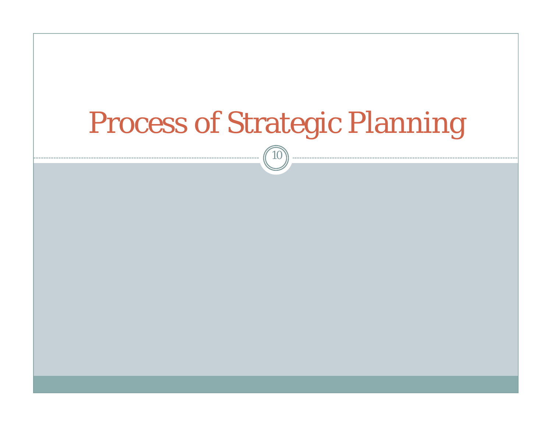# Process of Strategic Planning

 $\widehat{10}$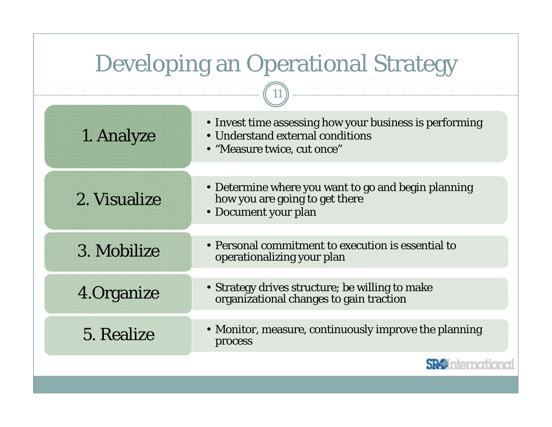| <b>Developing an Operational Strategy</b> |                                                                                                                            |
|-------------------------------------------|----------------------------------------------------------------------------------------------------------------------------|
|                                           |                                                                                                                            |
| 1. Analyze                                | • Invest time assessing how your business is performing<br>• Understand external conditions<br>• "Measure twice, cut once" |
| 2. Visualize                              | • Determine where you want to go and begin planning<br>how you are going to get there<br>• Document your plan              |
| 3. Mobilize                               | • Personal commitment to execution is essential to<br>operationalizing your plan                                           |
| 4. Organize                               | • Strategy drives structure; be willing to make<br>organizational changes to gain traction                                 |
| 5. Realize                                | • Monitor, measure, continuously improve the planning<br>process                                                           |
|                                           |                                                                                                                            |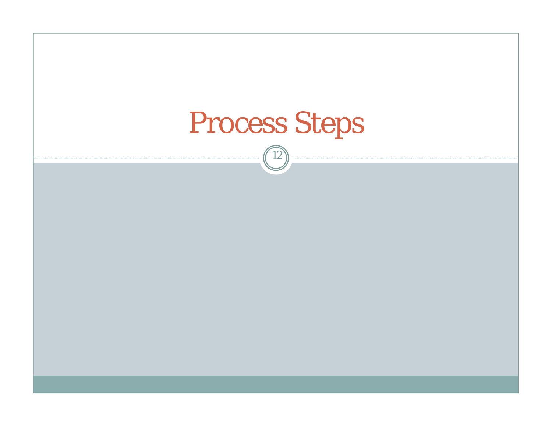# Process Steps

 $\boxed{12}$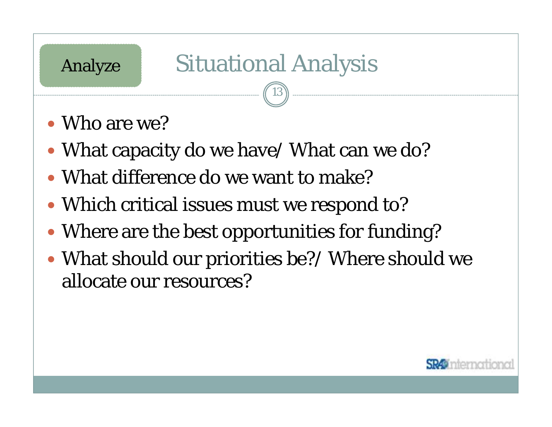# Analyze Situational Analysis

- Who are we?
- What capacity do we have/ What can we do?
- What difference do we want to make?
- Which critical issues must we respond to?
- Where are the best opportunities for funding?
- What should our priorities be?/ Where should we allocate our resources?

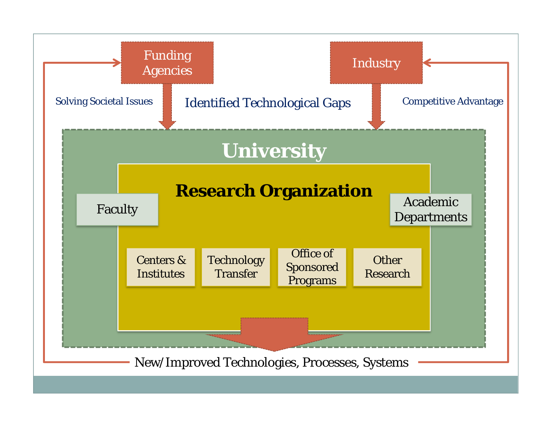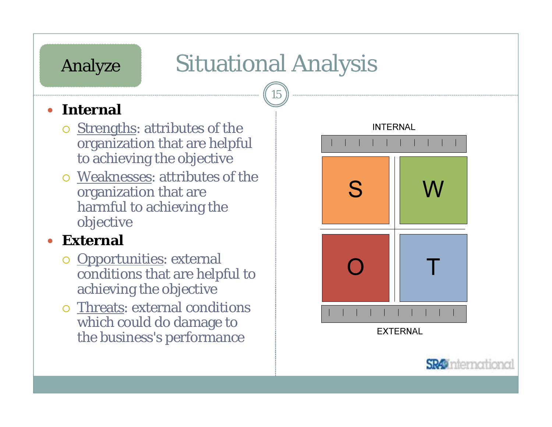# Situational Analysis

15

## **•** Internal

Analyze

- **Strengths: attributes of the** organization that are helpful to achieving the objective
- { Weaknesses: attributes of the organization that are harmful to achieving the objective

#### $\bullet$ **External**

- **Opportunities: external** conditions that are helpful to achieving the objective
- { Threats: external conditions which could do damage to the business's performance



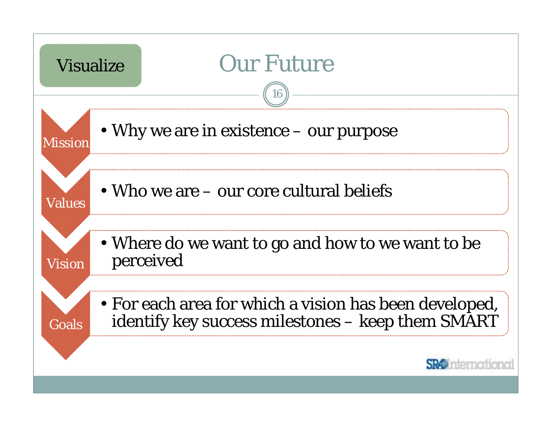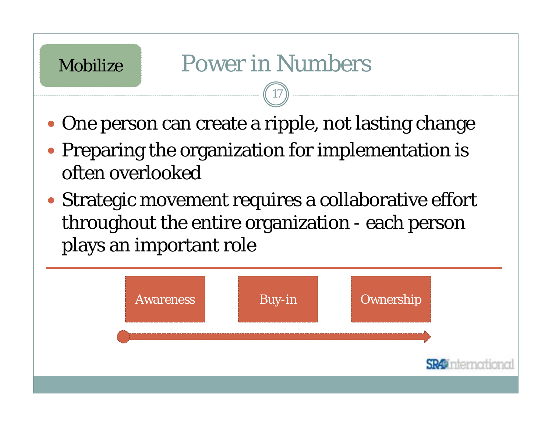## Mobilize

# Power in Numbers

- One person can create a ripple, not lasting change
- Preparing the organization for implementation is often overlooked
- Strategic movement requires a collaborative effort throughout the entire organization - each person plays an important role

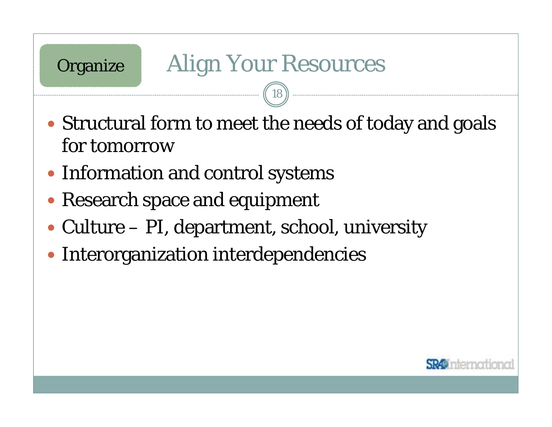## **Organize**

# Align Your Resources

- Structural form to meet the needs of today and goals for tomorrow
- Information and control systems
- Research space and equipment
- Culture PI, department, school, university
- Interorganization interdependencies

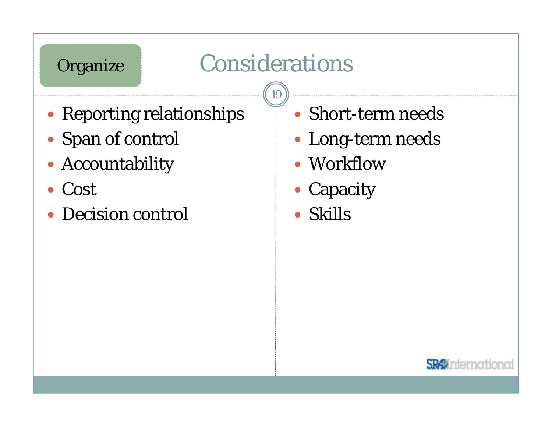## **Organize**

# Considerations

- Reporting relationships
- Span of control
- Accountability
- $\bullet$ Cost
- $\bullet$ Decision control
- Short-term needs
- Long-term needs
- Workflow
- Capacity
- $\bullet$ Skills

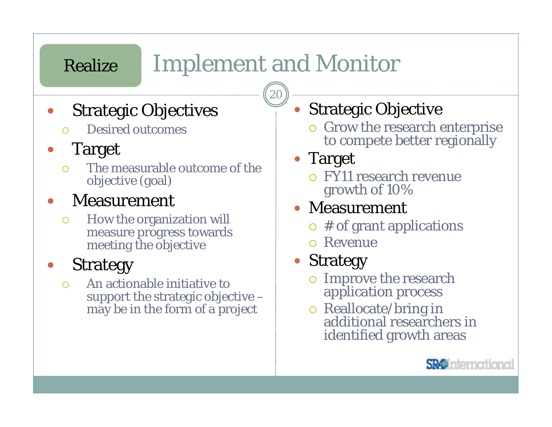# Implement and Monitor

20

- $\bullet$  Strategic Objectives
	- $\bigcap$ Desired outcomes

#### $\bullet$ Target

Realize

 $\bigcirc$  The measurable outcome of the objective (goal)

#### $\bullet$ Measurement

 $\circ$  How the organization will measure progress towards meeting the objective

### $\bullet$ Strategy

 $\bigcap$  An actionable initiative to support the strategic objective – may be in the form of a project

#### $\bullet$ Strategic Objective

{ Grow the research enterprise to compete better regionally

## • Target

{ FY11 research revenue growth of 10%

## • Measurement

- $\circ$  # of grant applications
- { Revenue

#### $\bullet$ Strategy

- { Improve the research application process
- o Reallocate/bring in additional researchers in identified growth areas

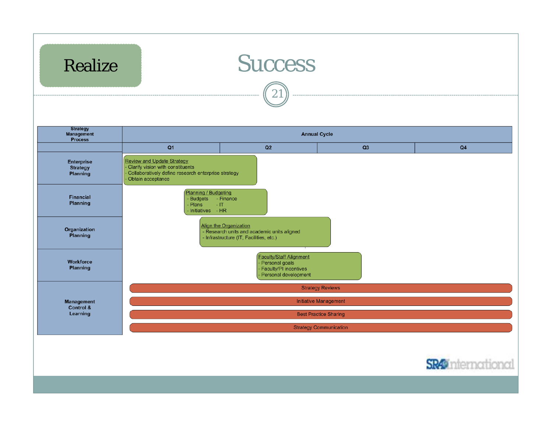



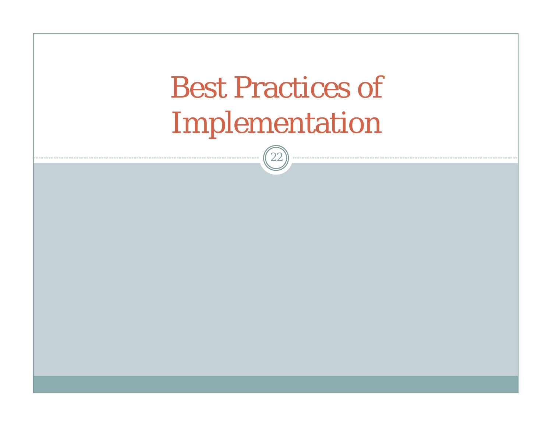# Best Practices of Implementation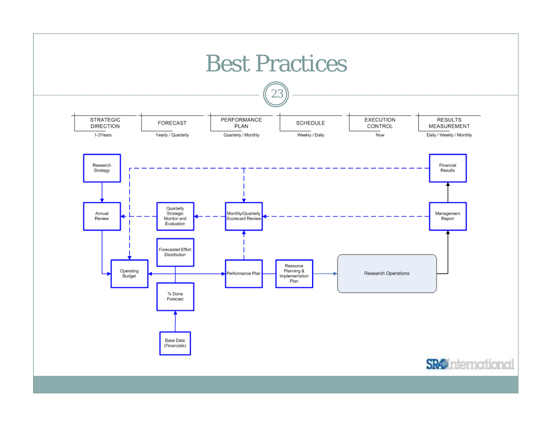